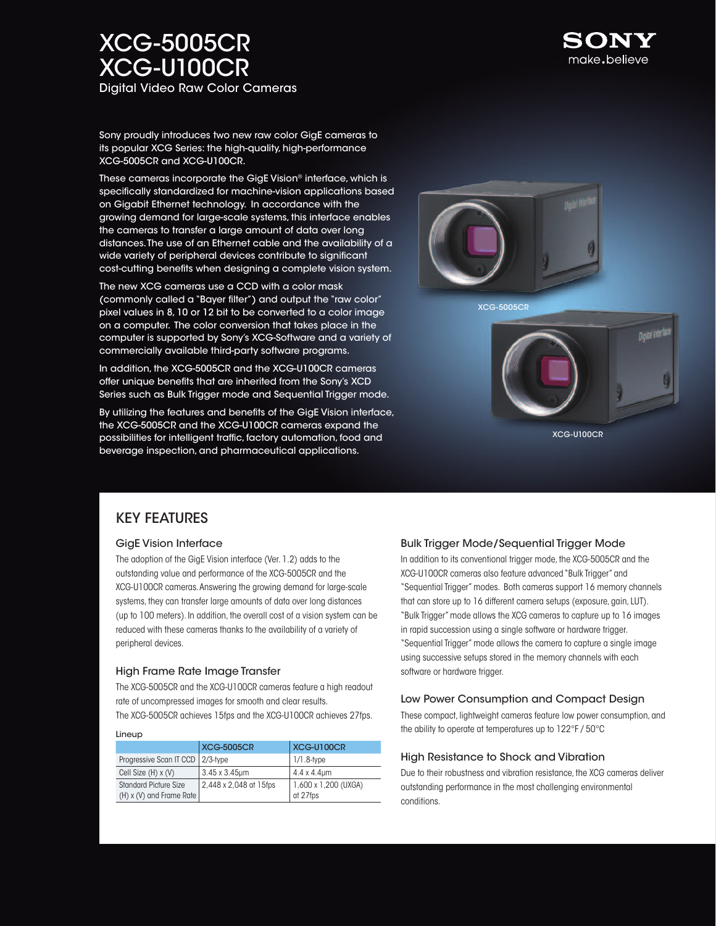# XCG-5005CR XCG-U100CR

Digital Video Raw Color Cameras



Sony proudly introduces two new raw color GigE cameras to its popular XCG Series: the high-quality, high-performance XCG-5005CR and XCG-U100CR.

These cameras incorporate the GigE Vision® interface, which is specifically standardized for machine-vision applications based on Gigabit Ethernet technology. In accordance with the growing demand for large-scale systems, this interface enables the cameras to transfer a large amount of data over long distances. The use of an Ethernet cable and the availability of a wide variety of peripheral devices contribute to significant cost-cutting benefits when designing a complete vision system.

The new XCG cameras use a CCD with a color mask (commonly called a "Bayer filter") and output the "raw color" pixel values in 8, 10 or 12 bit to be converted to a color image on a computer. The color conversion that takes place in the computer is supported by Sony's XCG-Software and a variety of commercially available third-party software programs.

In addition, the XCG-5005CR and the XCG-U100CR cameras offer unique benefits that are inherited from the Sony's XCD Series such as Bulk Trigger mode and Sequential Trigger mode.

By utilizing the features and benefits of the GigE Vision interface, the XCG-5005CR and the XCG-U100CR cameras expand the possibilities for intelligent traffic, factory automation, food and beverage inspection, and pharmaceutical applications.



XCG-5005CR



XCG-U100CR

# Key Features

### GigE Vision Interface

The adoption of the GigE Vision interface (Ver. 1.2) adds to the outstanding value and performance of the XCG-5005CR and the XCG-U100CR cameras. Answering the growing demand for large-scale systems, they can transfer large amounts of data over long distances (up to 100 meters). In addition, the overall cost of a vision system can be reduced with these cameras thanks to the availability of a variety of peripheral devices.

### High Frame Rate Image Transfer

The XCG-5005CR and the XCG-U100CR cameras feature a high readout rate of uncompressed images for smooth and clear results. The XCG-5005CR achieves 15fps and the XCG-U100CR achieves 27fps.

#### **Lineup**

|                                    | <b>XCG-5005CR</b>      | XCG-U100CR           |  |  |
|------------------------------------|------------------------|----------------------|--|--|
| Progressive Scan IT CCD   2/3-type |                        | $1/1.8$ -type        |  |  |
| Cell Size $(H)$ x $(V)$            | $3.45 \times 3.45$ µm  | $4.4 \times 4.4$ um  |  |  |
| <b>Standard Picture Size</b>       | 2,448 x 2,048 at 15fps | 1,600 x 1,200 (UXGA) |  |  |
| $(H)$ x (V) and Frame Rate         |                        | at 27fps             |  |  |

### Bulk Trigger Mode/Sequential Trigger Mode

In addition to its conventional trigger mode, the XCG-5005CR and the XCG-U100CR cameras also feature advanced "Bulk Trigger" and "Sequential Trigger" modes. Both cameras support 16 memory channels that can store up to 16 different camera setups (exposure, gain, LUT). "Bulk Trigger" mode allows the XCG cameras to capture up to 16 images in rapid succession using a single software or hardware trigger. "Sequential Trigger" mode allows the camera to capture a single image using successive setups stored in the memory channels with each software or hardware trigger.

### Low Power Consumption and Compact Design

These compact, lightweight cameras feature low power consumption, and the ability to operate at temperatures up to 122°F / 50°C

#### High Resistance to Shock and Vibration

Due to their robustness and vibration resistance, the XCG cameras deliver outstanding performance in the most challenging environmental conditions.